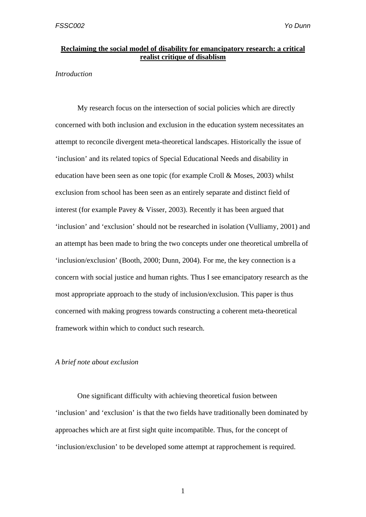## **Reclaiming the social model of disability for emancipatory research: a critical realist critique of disablism**

### *Introduction*

 My research focus on the intersection of social policies which are directly concerned with both inclusion and exclusion in the education system necessitates an attempt to reconcile divergent meta-theoretical landscapes. Historically the issue of 'inclusion' and its related topics of Special Educational Needs and disability in education have been seen as one topic (for example Croll & Moses, 2003) whilst exclusion from school has been seen as an entirely separate and distinct field of interest (for example Pavey & Visser, 2003). Recently it has been argued that 'inclusion' and 'exclusion' should not be researched in isolation (Vulliamy, 2001) and an attempt has been made to bring the two concepts under one theoretical umbrella of 'inclusion/exclusion' (Booth, 2000; Dunn, 2004). For me, the key connection is a concern with social justice and human rights. Thus I see emancipatory research as the most appropriate approach to the study of inclusion/exclusion. This paper is thus concerned with making progress towards constructing a coherent meta-theoretical framework within which to conduct such research.

### *A brief note about exclusion*

One significant difficulty with achieving theoretical fusion between 'inclusion' and 'exclusion' is that the two fields have traditionally been dominated by approaches which are at first sight quite incompatible. Thus, for the concept of 'inclusion/exclusion' to be developed some attempt at rapprochement is required.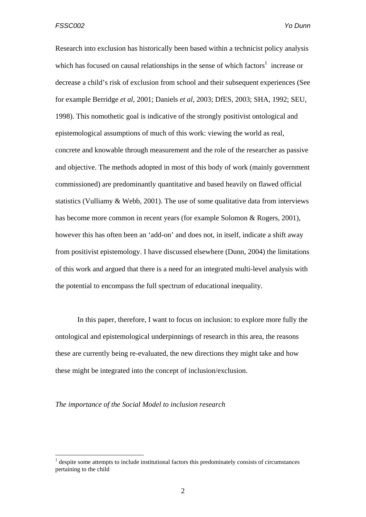Research into exclusion has historically been based within a technicist policy analysis which has focused on causal relationships in the sense of which factors<sup>1</sup> increase or decrease a child's risk of exclusion from school and their subsequent experiences (See for example Berridge *et al*, 2001; Daniels *et al*, 2003; DfES, 2003; SHA, 1992; SEU, 1998). This nomothetic goal is indicative of the strongly positivist ontological and epistemological assumptions of much of this work: viewing the world as real, concrete and knowable through measurement and the role of the researcher as passive and objective. The methods adopted in most of this body of work (mainly government commissioned) are predominantly quantitative and based heavily on flawed official statistics (Vulliamy & Webb, 2001). The use of some qualitative data from interviews has become more common in recent years (for example Solomon & Rogers, 2001), however this has often been an 'add-on' and does not, in itself, indicate a shift away from positivist epistemology. I have discussed elsewhere (Dunn, 2004) the limitations of this work and argued that there is a need for an integrated multi-level analysis with the potential to encompass the full spectrum of educational inequality.

 In this paper, therefore, I want to focus on inclusion: to explore more fully the ontological and epistemological underpinnings of research in this area, the reasons these are currently being re-evaluated, the new directions they might take and how these might be integrated into the concept of inclusion/exclusion.

*The importance of the Social Model to inclusion research* 

<u>.</u>

<sup>1</sup> despite some attempts to include institutional factors this predominately consists of circumstances pertaining to the child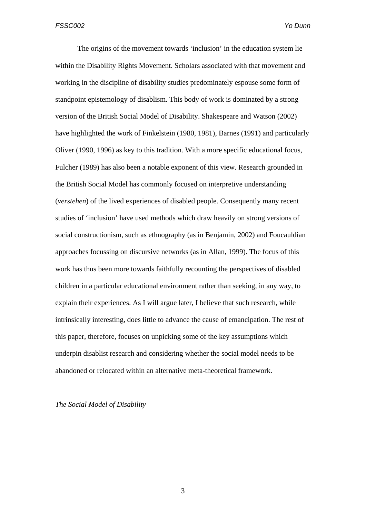The origins of the movement towards 'inclusion' in the education system lie within the Disability Rights Movement. Scholars associated with that movement and working in the discipline of disability studies predominately espouse some form of standpoint epistemology of disablism. This body of work is dominated by a strong version of the British Social Model of Disability. Shakespeare and Watson (2002) have highlighted the work of Finkelstein (1980, 1981), Barnes (1991) and particularly Oliver (1990, 1996) as key to this tradition. With a more specific educational focus, Fulcher (1989) has also been a notable exponent of this view. Research grounded in the British Social Model has commonly focused on interpretive understanding (*verstehen*) of the lived experiences of disabled people. Consequently many recent studies of 'inclusion' have used methods which draw heavily on strong versions of social constructionism, such as ethnography (as in Benjamin, 2002) and Foucauldian approaches focussing on discursive networks (as in Allan, 1999). The focus of this work has thus been more towards faithfully recounting the perspectives of disabled children in a particular educational environment rather than seeking, in any way, to explain their experiences. As I will argue later, I believe that such research, while intrinsically interesting, does little to advance the cause of emancipation. The rest of this paper, therefore, focuses on unpicking some of the key assumptions which underpin disablist research and considering whether the social model needs to be abandoned or relocated within an alternative meta-theoretical framework.

*The Social Model of Disability*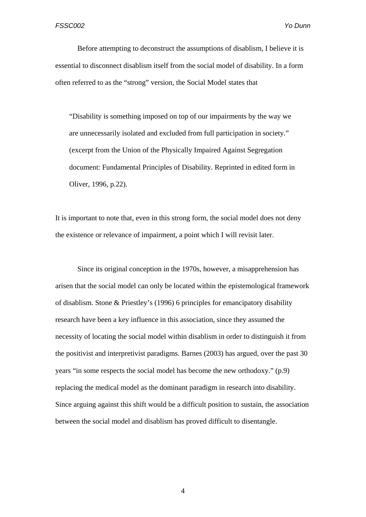Before attempting to deconstruct the assumptions of disablism, I believe it is essential to disconnect disablism itself from the social model of disability. In a form often referred to as the "strong" version, the Social Model states that

"Disability is something imposed on top of our impairments by the way we are unnecessarily isolated and excluded from full participation in society." (excerpt from the Union of the Physically Impaired Against Segregation document: Fundamental Principles of Disability. Reprinted in edited form in Oliver, 1996, p.22).

It is important to note that, even in this strong form, the social model does not deny the existence or relevance of impairment, a point which I will revisit later.

Since its original conception in the 1970s, however, a misapprehension has arisen that the social model can only be located within the epistemological framework of disablism. Stone & Priestley's (1996) 6 principles for emancipatory disability research have been a key influence in this association, since they assumed the necessity of locating the social model within disablism in order to distinguish it from the positivist and interpretivist paradigms. Barnes (2003) has argued, over the past 30 years "in some respects the social model has become the new orthodoxy." (p.9) replacing the medical model as the dominant paradigm in research into disability. Since arguing against this shift would be a difficult position to sustain, the association between the social model and disablism has proved difficult to disentangle.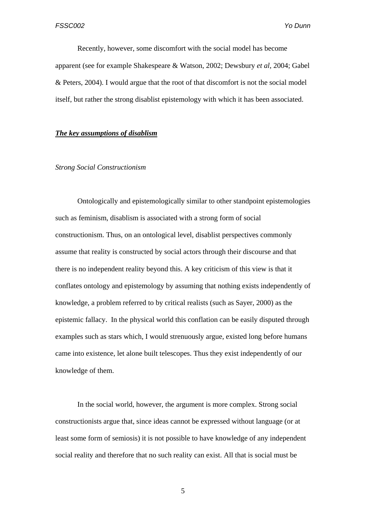Recently, however, some discomfort with the social model has become apparent (see for example Shakespeare & Watson, 2002; Dewsbury *et al*, 2004; Gabel & Peters, 2004). I would argue that the root of that discomfort is not the social model itself, but rather the strong disablist epistemology with which it has been associated.

# *The key assumptions of disablism*

#### *Strong Social Constructionism*

Ontologically and epistemologically similar to other standpoint epistemologies such as feminism, disablism is associated with a strong form of social constructionism. Thus, on an ontological level, disablist perspectives commonly assume that reality is constructed by social actors through their discourse and that there is no independent reality beyond this. A key criticism of this view is that it conflates ontology and epistemology by assuming that nothing exists independently of knowledge, a problem referred to by critical realists (such as Sayer, 2000) as the epistemic fallacy. In the physical world this conflation can be easily disputed through examples such as stars which, I would strenuously argue, existed long before humans came into existence, let alone built telescopes. Thus they exist independently of our knowledge of them.

In the social world, however, the argument is more complex. Strong social constructionists argue that, since ideas cannot be expressed without language (or at least some form of semiosis) it is not possible to have knowledge of any independent social reality and therefore that no such reality can exist. All that is social must be

 $\overline{5}$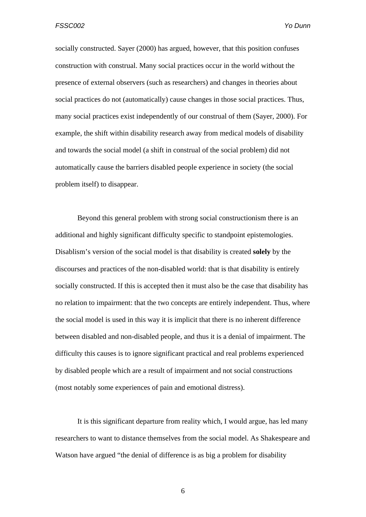socially constructed. Sayer (2000) has argued, however, that this position confuses construction with construal. Many social practices occur in the world without the presence of external observers (such as researchers) and changes in theories about social practices do not (automatically) cause changes in those social practices. Thus, many social practices exist independently of our construal of them (Sayer, 2000). For example, the shift within disability research away from medical models of disability and towards the social model (a shift in construal of the social problem) did not automatically cause the barriers disabled people experience in society (the social problem itself) to disappear.

Beyond this general problem with strong social constructionism there is an additional and highly significant difficulty specific to standpoint epistemologies. Disablism's version of the social model is that disability is created **solely** by the discourses and practices of the non-disabled world: that is that disability is entirely socially constructed. If this is accepted then it must also be the case that disability has no relation to impairment: that the two concepts are entirely independent. Thus, where the social model is used in this way it is implicit that there is no inherent difference between disabled and non-disabled people, and thus it is a denial of impairment. The difficulty this causes is to ignore significant practical and real problems experienced by disabled people which are a result of impairment and not social constructions (most notably some experiences of pain and emotional distress).

It is this significant departure from reality which, I would argue, has led many researchers to want to distance themselves from the social model. As Shakespeare and Watson have argued "the denial of difference is as big a problem for disability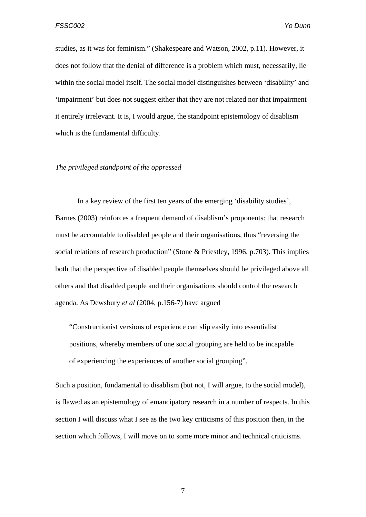studies, as it was for feminism." (Shakespeare and Watson, 2002, p.11). However, it does not follow that the denial of difference is a problem which must, necessarily, lie within the social model itself. The social model distinguishes between 'disability' and 'impairment' but does not suggest either that they are not related nor that impairment it entirely irrelevant. It is, I would argue, the standpoint epistemology of disablism which is the fundamental difficulty.

#### *The privileged standpoint of the oppressed*

In a key review of the first ten years of the emerging 'disability studies', Barnes (2003) reinforces a frequent demand of disablism's proponents: that research must be accountable to disabled people and their organisations, thus "reversing the social relations of research production" (Stone & Priestley, 1996, p.703). This implies both that the perspective of disabled people themselves should be privileged above all others and that disabled people and their organisations should control the research agenda. As Dewsbury *et al* (2004, p.156-7) have argued

"Constructionist versions of experience can slip easily into essentialist positions, whereby members of one social grouping are held to be incapable of experiencing the experiences of another social grouping".

Such a position, fundamental to disablism (but not, I will argue, to the social model), is flawed as an epistemology of emancipatory research in a number of respects. In this section I will discuss what I see as the two key criticisms of this position then, in the section which follows, I will move on to some more minor and technical criticisms.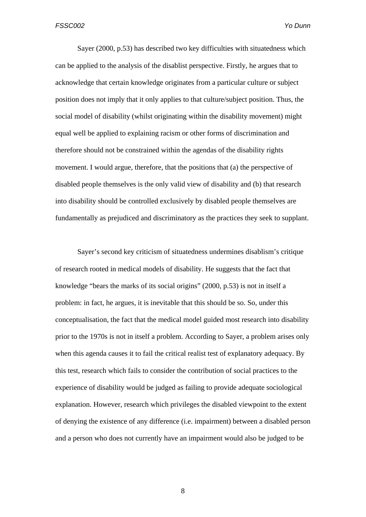Sayer (2000, p.53) has described two key difficulties with situatedness which can be applied to the analysis of the disablist perspective. Firstly, he argues that to acknowledge that certain knowledge originates from a particular culture or subject position does not imply that it only applies to that culture/subject position. Thus, the social model of disability (whilst originating within the disability movement) might equal well be applied to explaining racism or other forms of discrimination and therefore should not be constrained within the agendas of the disability rights movement. I would argue, therefore, that the positions that (a) the perspective of disabled people themselves is the only valid view of disability and (b) that research into disability should be controlled exclusively by disabled people themselves are fundamentally as prejudiced and discriminatory as the practices they seek to supplant.

Sayer's second key criticism of situatedness undermines disablism's critique of research rooted in medical models of disability. He suggests that the fact that knowledge "bears the marks of its social origins" (2000, p.53) is not in itself a problem: in fact, he argues, it is inevitable that this should be so. So, under this conceptualisation, the fact that the medical model guided most research into disability prior to the 1970s is not in itself a problem. According to Sayer, a problem arises only when this agenda causes it to fail the critical realist test of explanatory adequacy. By this test, research which fails to consider the contribution of social practices to the experience of disability would be judged as failing to provide adequate sociological explanation. However, research which privileges the disabled viewpoint to the extent of denying the existence of any difference (i.e. impairment) between a disabled person and a person who does not currently have an impairment would also be judged to be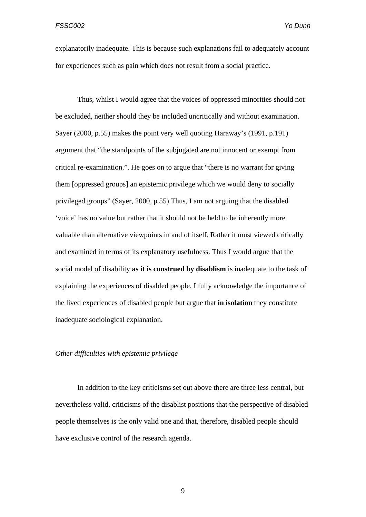explanatorily inadequate. This is because such explanations fail to adequately account for experiences such as pain which does not result from a social practice.

Thus, whilst I would agree that the voices of oppressed minorities should not be excluded, neither should they be included uncritically and without examination. Sayer (2000, p.55) makes the point very well quoting Haraway's (1991, p.191) argument that "the standpoints of the subjugated are not innocent or exempt from critical re-examination.". He goes on to argue that "there is no warrant for giving them [oppressed groups] an epistemic privilege which we would deny to socially privileged groups" (Sayer, 2000, p.55).Thus, I am not arguing that the disabled 'voice' has no value but rather that it should not be held to be inherently more valuable than alternative viewpoints in and of itself. Rather it must viewed critically and examined in terms of its explanatory usefulness. Thus I would argue that the social model of disability **as it is construed by disablism** is inadequate to the task of explaining the experiences of disabled people. I fully acknowledge the importance of the lived experiences of disabled people but argue that **in isolation** they constitute inadequate sociological explanation.

### *Other difficulties with epistemic privilege*

In addition to the key criticisms set out above there are three less central, but nevertheless valid, criticisms of the disablist positions that the perspective of disabled people themselves is the only valid one and that, therefore, disabled people should have exclusive control of the research agenda.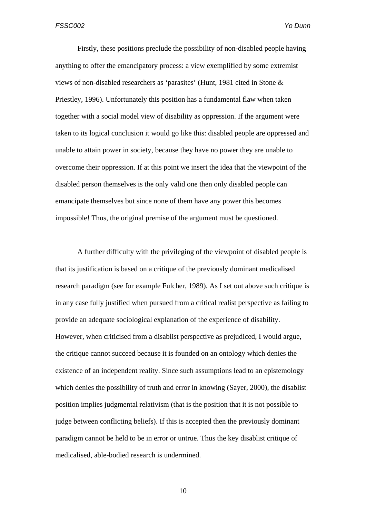Firstly, these positions preclude the possibility of non-disabled people having anything to offer the emancipatory process: a view exemplified by some extremist views of non-disabled researchers as 'parasites' (Hunt, 1981 cited in Stone & Priestley, 1996). Unfortunately this position has a fundamental flaw when taken together with a social model view of disability as oppression. If the argument were taken to its logical conclusion it would go like this: disabled people are oppressed and unable to attain power in society, because they have no power they are unable to overcome their oppression. If at this point we insert the idea that the viewpoint of the disabled person themselves is the only valid one then only disabled people can emancipate themselves but since none of them have any power this becomes impossible! Thus, the original premise of the argument must be questioned.

A further difficulty with the privileging of the viewpoint of disabled people is that its justification is based on a critique of the previously dominant medicalised research paradigm (see for example Fulcher, 1989). As I set out above such critique is in any case fully justified when pursued from a critical realist perspective as failing to provide an adequate sociological explanation of the experience of disability. However, when criticised from a disablist perspective as prejudiced, I would argue, the critique cannot succeed because it is founded on an ontology which denies the existence of an independent reality. Since such assumptions lead to an epistemology which denies the possibility of truth and error in knowing (Sayer, 2000), the disablist position implies judgmental relativism (that is the position that it is not possible to judge between conflicting beliefs). If this is accepted then the previously dominant paradigm cannot be held to be in error or untrue. Thus the key disablist critique of medicalised, able-bodied research is undermined.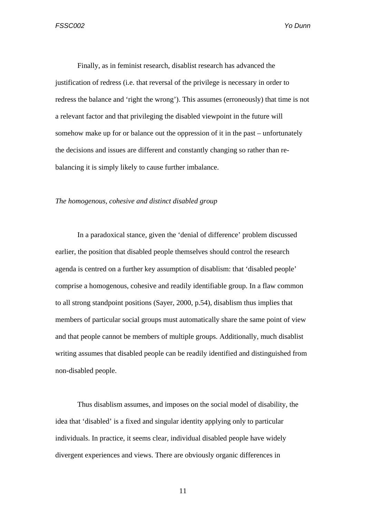Finally, as in feminist research, disablist research has advanced the justification of redress (i.e. that reversal of the privilege is necessary in order to redress the balance and 'right the wrong'). This assumes (erroneously) that time is not a relevant factor and that privileging the disabled viewpoint in the future will somehow make up for or balance out the oppression of it in the past – unfortunately the decisions and issues are different and constantly changing so rather than rebalancing it is simply likely to cause further imbalance.

# *The homogenous, cohesive and distinct disabled group*

In a paradoxical stance, given the 'denial of difference' problem discussed earlier, the position that disabled people themselves should control the research agenda is centred on a further key assumption of disablism: that 'disabled people' comprise a homogenous, cohesive and readily identifiable group. In a flaw common to all strong standpoint positions (Sayer, 2000, p.54), disablism thus implies that members of particular social groups must automatically share the same point of view and that people cannot be members of multiple groups. Additionally, much disablist writing assumes that disabled people can be readily identified and distinguished from non-disabled people.

Thus disablism assumes, and imposes on the social model of disability, the idea that 'disabled' is a fixed and singular identity applying only to particular individuals. In practice, it seems clear, individual disabled people have widely divergent experiences and views. There are obviously organic differences in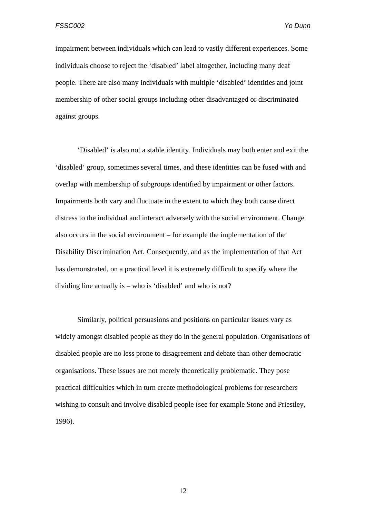impairment between individuals which can lead to vastly different experiences. Some individuals choose to reject the 'disabled' label altogether, including many deaf people. There are also many individuals with multiple 'disabled' identities and joint membership of other social groups including other disadvantaged or discriminated against groups.

'Disabled' is also not a stable identity. Individuals may both enter and exit the 'disabled' group, sometimes several times, and these identities can be fused with and overlap with membership of subgroups identified by impairment or other factors. Impairments both vary and fluctuate in the extent to which they both cause direct distress to the individual and interact adversely with the social environment. Change also occurs in the social environment – for example the implementation of the Disability Discrimination Act. Consequently, and as the implementation of that Act has demonstrated, on a practical level it is extremely difficult to specify where the dividing line actually is – who is 'disabled' and who is not?

Similarly, political persuasions and positions on particular issues vary as widely amongst disabled people as they do in the general population. Organisations of disabled people are no less prone to disagreement and debate than other democratic organisations. These issues are not merely theoretically problematic. They pose practical difficulties which in turn create methodological problems for researchers wishing to consult and involve disabled people (see for example Stone and Priestley, 1996).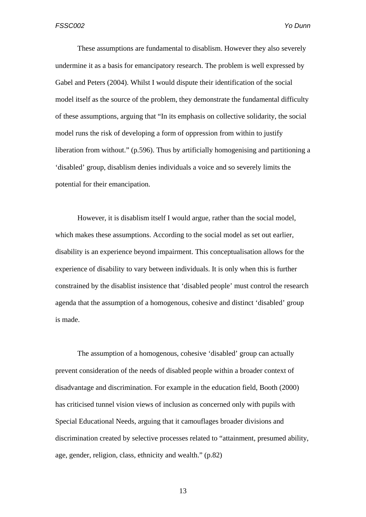These assumptions are fundamental to disablism. However they also severely undermine it as a basis for emancipatory research. The problem is well expressed by Gabel and Peters (2004). Whilst I would dispute their identification of the social model itself as the source of the problem, they demonstrate the fundamental difficulty of these assumptions, arguing that "In its emphasis on collective solidarity, the social model runs the risk of developing a form of oppression from within to justify liberation from without." (p.596). Thus by artificially homogenising and partitioning a 'disabled' group, disablism denies individuals a voice and so severely limits the potential for their emancipation.

However, it is disablism itself I would argue, rather than the social model, which makes these assumptions. According to the social model as set out earlier, disability is an experience beyond impairment. This conceptualisation allows for the experience of disability to vary between individuals. It is only when this is further constrained by the disablist insistence that 'disabled people' must control the research agenda that the assumption of a homogenous, cohesive and distinct 'disabled' group is made.

The assumption of a homogenous, cohesive 'disabled' group can actually prevent consideration of the needs of disabled people within a broader context of disadvantage and discrimination. For example in the education field, Booth (2000) has criticised tunnel vision views of inclusion as concerned only with pupils with Special Educational Needs, arguing that it camouflages broader divisions and discrimination created by selective processes related to "attainment, presumed ability, age, gender, religion, class, ethnicity and wealth." (p.82)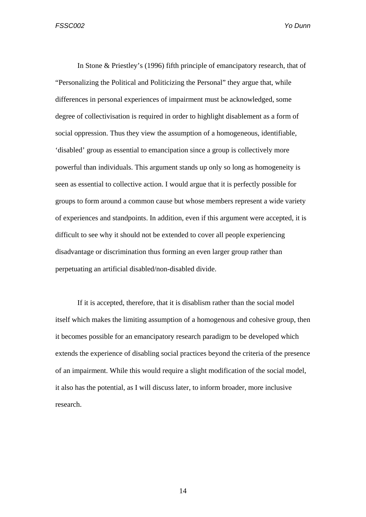In Stone & Priestley's (1996) fifth principle of emancipatory research, that of "Personalizing the Political and Politicizing the Personal" they argue that, while differences in personal experiences of impairment must be acknowledged, some degree of collectivisation is required in order to highlight disablement as a form of social oppression. Thus they view the assumption of a homogeneous, identifiable, 'disabled' group as essential to emancipation since a group is collectively more powerful than individuals. This argument stands up only so long as homogeneity is seen as essential to collective action. I would argue that it is perfectly possible for groups to form around a common cause but whose members represent a wide variety of experiences and standpoints. In addition, even if this argument were accepted, it is difficult to see why it should not be extended to cover all people experiencing disadvantage or discrimination thus forming an even larger group rather than perpetuating an artificial disabled/non-disabled divide.

If it is accepted, therefore, that it is disablism rather than the social model itself which makes the limiting assumption of a homogenous and cohesive group, then it becomes possible for an emancipatory research paradigm to be developed which extends the experience of disabling social practices beyond the criteria of the presence of an impairment. While this would require a slight modification of the social model, it also has the potential, as I will discuss later, to inform broader, more inclusive research.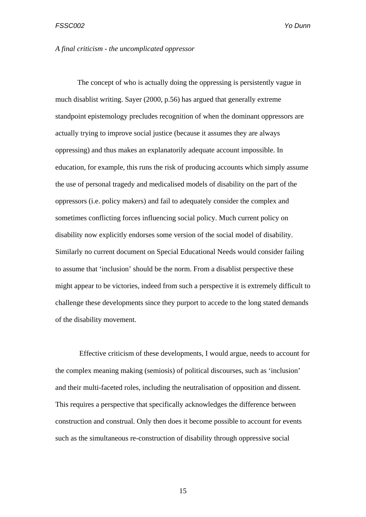#### *A final criticism - the uncomplicated oppressor*

The concept of who is actually doing the oppressing is persistently vague in much disablist writing. Sayer (2000, p.56) has argued that generally extreme standpoint epistemology precludes recognition of when the dominant oppressors are actually trying to improve social justice (because it assumes they are always oppressing) and thus makes an explanatorily adequate account impossible. In education, for example, this runs the risk of producing accounts which simply assume the use of personal tragedy and medicalised models of disability on the part of the oppressors (i.e. policy makers) and fail to adequately consider the complex and sometimes conflicting forces influencing social policy. Much current policy on disability now explicitly endorses some version of the social model of disability. Similarly no current document on Special Educational Needs would consider failing to assume that 'inclusion' should be the norm. From a disablist perspective these might appear to be victories, indeed from such a perspective it is extremely difficult to challenge these developments since they purport to accede to the long stated demands of the disability movement.

 Effective criticism of these developments, I would argue, needs to account for the complex meaning making (semiosis) of political discourses, such as 'inclusion' and their multi-faceted roles, including the neutralisation of opposition and dissent. This requires a perspective that specifically acknowledges the difference between construction and construal. Only then does it become possible to account for events such as the simultaneous re-construction of disability through oppressive social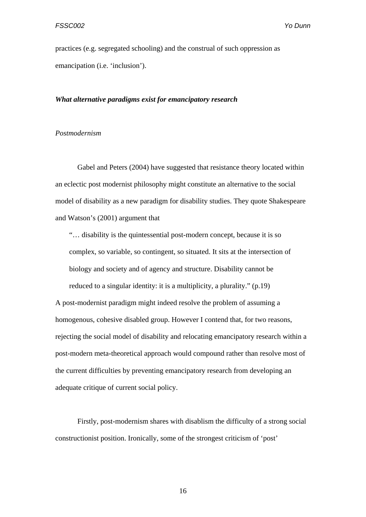practices (e.g. segregated schooling) and the construal of such oppression as emancipation (i.e. 'inclusion').

### *What alternative paradigms exist for emancipatory research*

# *Postmodernism*

Gabel and Peters (2004) have suggested that resistance theory located within an eclectic post modernist philosophy might constitute an alternative to the social model of disability as a new paradigm for disability studies. They quote Shakespeare and Watson's (2001) argument that

"… disability is the quintessential post-modern concept, because it is so complex, so variable, so contingent, so situated. It sits at the intersection of biology and society and of agency and structure. Disability cannot be reduced to a singular identity: it is a multiplicity, a plurality." (p.19)

A post-modernist paradigm might indeed resolve the problem of assuming a homogenous, cohesive disabled group. However I contend that, for two reasons, rejecting the social model of disability and relocating emancipatory research within a post-modern meta-theoretical approach would compound rather than resolve most of the current difficulties by preventing emancipatory research from developing an adequate critique of current social policy.

Firstly, post-modernism shares with disablism the difficulty of a strong social constructionist position. Ironically, some of the strongest criticism of 'post'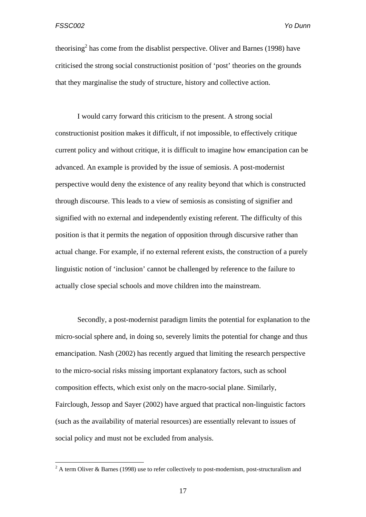theorising<sup>2</sup> has come from the disablist perspective. Oliver and Barnes (1998) have criticised the strong social constructionist position of 'post' theories on the grounds that they marginalise the study of structure, history and collective action.

I would carry forward this criticism to the present. A strong social constructionist position makes it difficult, if not impossible, to effectively critique current policy and without critique, it is difficult to imagine how emancipation can be advanced. An example is provided by the issue of semiosis. A post-modernist perspective would deny the existence of any reality beyond that which is constructed through discourse. This leads to a view of semiosis as consisting of signifier and signified with no external and independently existing referent. The difficulty of this position is that it permits the negation of opposition through discursive rather than actual change. For example, if no external referent exists, the construction of a purely linguistic notion of 'inclusion' cannot be challenged by reference to the failure to actually close special schools and move children into the mainstream.

Secondly, a post-modernist paradigm limits the potential for explanation to the micro-social sphere and, in doing so, severely limits the potential for change and thus emancipation. Nash (2002) has recently argued that limiting the research perspective to the micro-social risks missing important explanatory factors, such as school composition effects, which exist only on the macro-social plane. Similarly, Fairclough, Jessop and Sayer (2002) have argued that practical non-linguistic factors (such as the availability of material resources) are essentially relevant to issues of social policy and must not be excluded from analysis.

<sup>&</sup>lt;sup>2</sup> A term Oliver & Barnes (1998) use to refer collectively to post-modernism, post-structuralism and <sup>2</sup>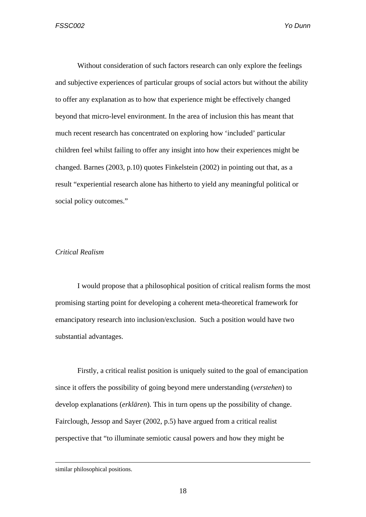Without consideration of such factors research can only explore the feelings and subjective experiences of particular groups of social actors but without the ability to offer any explanation as to how that experience might be effectively changed beyond that micro-level environment. In the area of inclusion this has meant that much recent research has concentrated on exploring how 'included' particular children feel whilst failing to offer any insight into how their experiences might be changed. Barnes (2003, p.10) quotes Finkelstein (2002) in pointing out that, as a result "experiential research alone has hitherto to yield any meaningful political or social policy outcomes."

## *Critical Realism*

I would propose that a philosophical position of critical realism forms the most promising starting point for developing a coherent meta-theoretical framework for emancipatory research into inclusion/exclusion. Such a position would have two substantial advantages.

Firstly, a critical realist position is uniquely suited to the goal of emancipation since it offers the possibility of going beyond mere understanding (*verstehen*) to develop explanations (*erklären*). This in turn opens up the possibility of change. Fairclough, Jessop and Sayer (2002, p.5) have argued from a critical realist perspective that "to illuminate semiotic causal powers and how they might be

similar philosophical positions.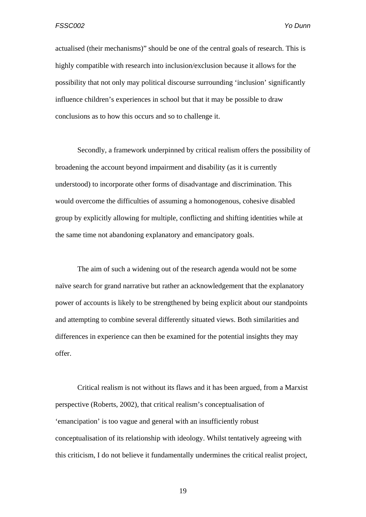actualised (their mechanisms)" should be one of the central goals of research. This is highly compatible with research into inclusion/exclusion because it allows for the possibility that not only may political discourse surrounding 'inclusion' significantly influence children's experiences in school but that it may be possible to draw conclusions as to how this occurs and so to challenge it.

Secondly, a framework underpinned by critical realism offers the possibility of broadening the account beyond impairment and disability (as it is currently understood) to incorporate other forms of disadvantage and discrimination. This would overcome the difficulties of assuming a homonogenous, cohesive disabled group by explicitly allowing for multiple, conflicting and shifting identities while at the same time not abandoning explanatory and emancipatory goals.

The aim of such a widening out of the research agenda would not be some naïve search for grand narrative but rather an acknowledgement that the explanatory power of accounts is likely to be strengthened by being explicit about our standpoints and attempting to combine several differently situated views. Both similarities and differences in experience can then be examined for the potential insights they may offer.

Critical realism is not without its flaws and it has been argued, from a Marxist perspective (Roberts, 2002), that critical realism's conceptualisation of 'emancipation' is too vague and general with an insufficiently robust conceptualisation of its relationship with ideology. Whilst tentatively agreeing with this criticism, I do not believe it fundamentally undermines the critical realist project,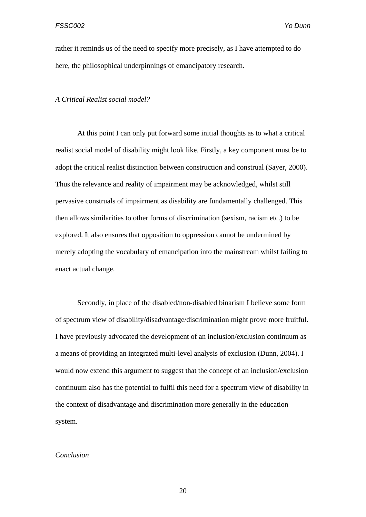rather it reminds us of the need to specify more precisely, as I have attempted to do here, the philosophical underpinnings of emancipatory research.

#### *A Critical Realist social model?*

At this point I can only put forward some initial thoughts as to what a critical realist social model of disability might look like. Firstly, a key component must be to adopt the critical realist distinction between construction and construal (Sayer, 2000). Thus the relevance and reality of impairment may be acknowledged, whilst still pervasive construals of impairment as disability are fundamentally challenged. This then allows similarities to other forms of discrimination (sexism, racism etc.) to be explored. It also ensures that opposition to oppression cannot be undermined by merely adopting the vocabulary of emancipation into the mainstream whilst failing to enact actual change.

Secondly, in place of the disabled/non-disabled binarism I believe some form of spectrum view of disability/disadvantage/discrimination might prove more fruitful. I have previously advocated the development of an inclusion/exclusion continuum as a means of providing an integrated multi-level analysis of exclusion (Dunn, 2004). I would now extend this argument to suggest that the concept of an inclusion/exclusion continuum also has the potential to fulfil this need for a spectrum view of disability in the context of disadvantage and discrimination more generally in the education system.

## *Conclusion*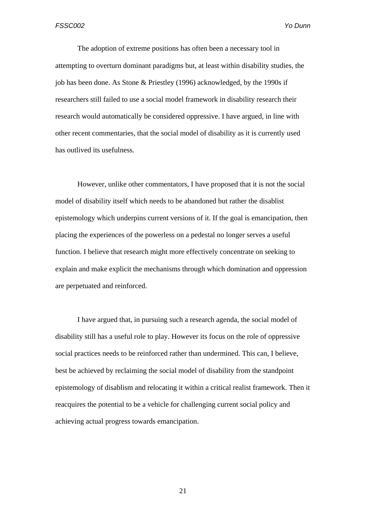The adoption of extreme positions has often been a necessary tool in attempting to overturn dominant paradigms but, at least within disability studies, the job has been done. As Stone & Priestley (1996) acknowledged, by the 1990s if researchers still failed to use a social model framework in disability research their research would automatically be considered oppressive. I have argued, in line with other recent commentaries, that the social model of disability as it is currently used has outlived its usefulness.

However, unlike other commentators, I have proposed that it is not the social model of disability itself which needs to be abandoned but rather the disablist epistemology which underpins current versions of it. If the goal is emancipation, then placing the experiences of the powerless on a pedestal no longer serves a useful function. I believe that research might more effectively concentrate on seeking to explain and make explicit the mechanisms through which domination and oppression are perpetuated and reinforced.

 I have argued that, in pursuing such a research agenda, the social model of disability still has a useful role to play. However its focus on the role of oppressive social practices needs to be reinforced rather than undermined. This can, I believe, best be achieved by reclaiming the social model of disability from the standpoint epistemology of disablism and relocating it within a critical realist framework. Then it reacquires the potential to be a vehicle for challenging current social policy and achieving actual progress towards emancipation.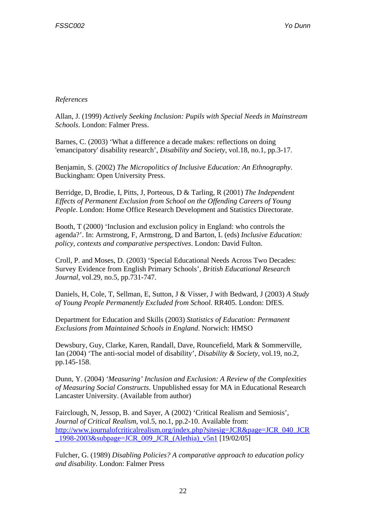# *References*

Allan, J. (1999) *Actively Seeking Inclusion: Pupils with Special Needs in Mainstream Schools*. London: Falmer Press.

Barnes, C. (2003) 'What a difference a decade makes: reflections on doing 'emancipatory' disability research', *Disability and Society*, vol.18, no.1, pp.3-17.

Benjamin, S. (2002) *The Micropolitics of Inclusive Education: An Ethnography*. Buckingham: Open University Press.

Berridge, D, Brodie, I, Pitts, J, Porteous, D & Tarling, R (2001) *The Independent Effects of Permanent Exclusion from School on the Offending Careers of Young People*. London: Home Office Research Development and Statistics Directorate.

Booth, T (2000) 'Inclusion and exclusion policy in England: who controls the agenda?'. In: Armstrong, F, Armstrong, D and Barton, L (eds) *Inclusive Education: policy, contexts and comparative perspectives*. London: David Fulton.

Croll, P. and Moses, D. (2003) 'Special Educational Needs Across Two Decades: Survey Evidence from English Primary Schools', *British Educational Research Journal*, vol.29, no.5, pp.731-747.

Daniels, H, Cole, T, Sellman, E, Sutton, J & Visser, J with Bedward, J (2003) *A Study of Young People Permanently Excluded from School*. RR405. London: DfES.

Department for Education and Skills (2003) *Statistics of Education: Permanent Exclusions from Maintained Schools in England*. Norwich: HMSO

Dewsbury, Guy, Clarke, Karen, Randall, Dave, Rouncefield, Mark & Sommerville, Ian (2004) 'The anti-social model of disability', *Disability & Society*, vol.19, no.2, pp.145-158.

Dunn, Y. (2004) *'Measuring' Inclusion and Exclusion: A Review of the Complexities of Measuring Social Constructs*. Unpublished essay for MA in Educational Research Lancaster University. (Available from author)

Fairclough, N, Jessop, B. and Sayer, A (2002) 'Critical Realism and Semiosis', *Journal of Critical Realism*, vol.5, no.1, pp.2-10. Available from: http://www.journalofcriticalrealism.org/index.php?sitesig=JCR&page=JCR\_040\_JCR \_1998-2003&subpage=JCR\_009\_JCR\_(Alethia)\_v5n1 [19/02/05]

Fulcher, G. (1989) *Disabling Policies? A comparative approach to education policy and disability*. London: Falmer Press